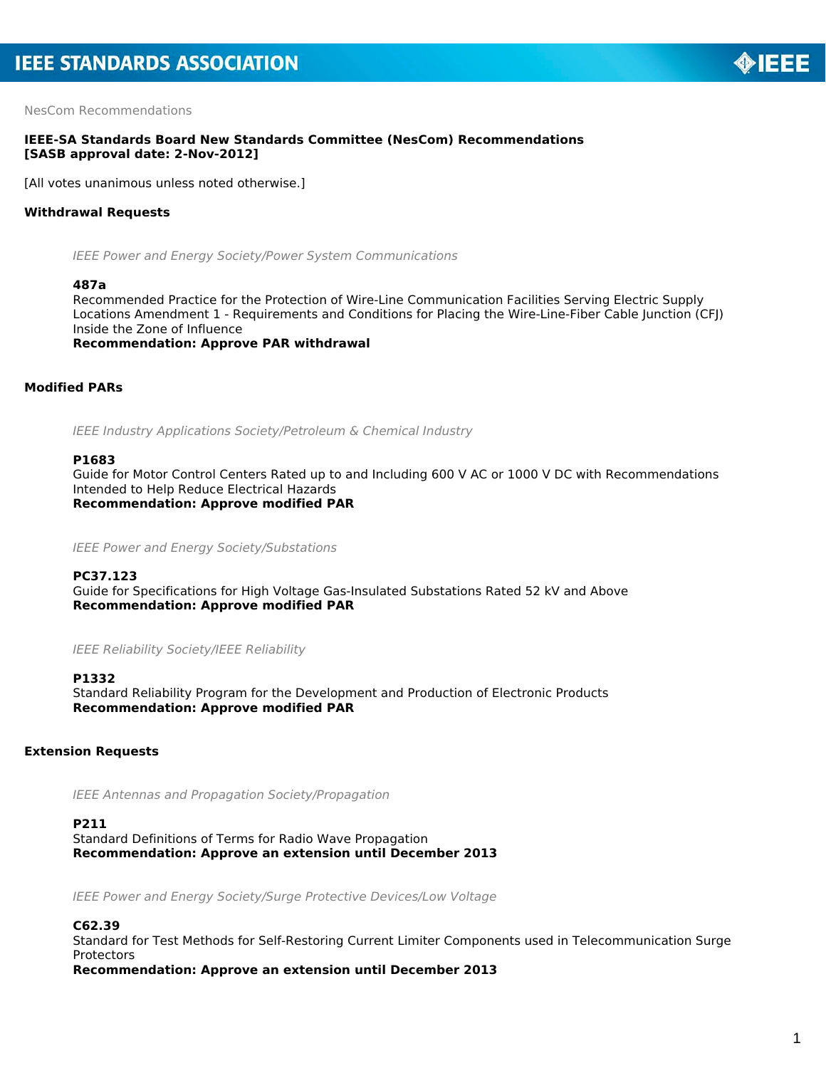

NesCom Recommendations

## **IEEE-SA Standards Board New Standards Committee (NesCom) Recommendations [SASB approval date: 2-Nov-2012]**

[All votes unanimous unless noted otherwise.]

## **Withdrawal Requests**

*IEEE Power and Energy Society/Power System Communications*

#### **487a**

Recommended Practice for the Protection of Wire-Line Communication Facilities Serving Electric Supply Locations Amendment 1 - Requirements and Conditions for Placing the Wire-Line-Fiber Cable Junction (CFJ) Inside the Zone of Influence

*Recommendation: Approve PAR withdrawal*

# **Modified PARs**

*IEEE Industry Applications Society/Petroleum & Chemical Industry*

#### **P1683**

Guide for Motor Control Centers Rated up to and Including 600 V AC or 1000 V DC with Recommendations Intended to Help Reduce Electrical Hazards *Recommendation: Approve modified PAR*

*IEEE Power and Energy Society/Substations*

**PC37.123**

Guide for Specifications for High Voltage Gas-Insulated Substations Rated 52 kV and Above *Recommendation: Approve modified PAR*

*IEEE Reliability Society/IEEE Reliability*

#### **P1332**

Standard Reliability Program for the Development and Production of Electronic Products *Recommendation: Approve modified PAR*

### **Extension Requests**

*IEEE Antennas and Propagation Society/Propagation*

#### **P211**

Standard Definitions of Terms for Radio Wave Propagation *Recommendation: Approve an extension until December 2013*

*IEEE Power and Energy Society/Surge Protective Devices/Low Voltage*

**C62.39** Standard for Test Methods for Self-Restoring Current Limiter Components used in Telecommunication Surge **Protectors** *Recommendation: Approve an extension until December 2013*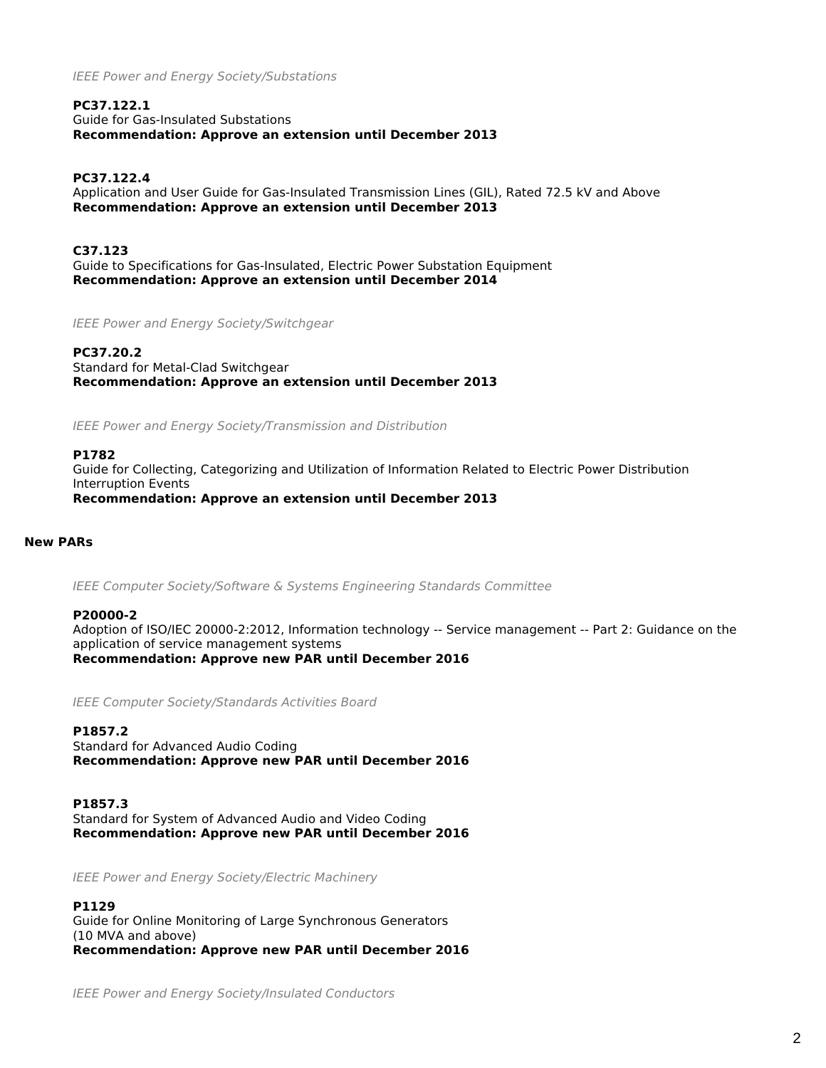*IEEE Power and Energy Society/Substations*

**PC37.122.1** Guide for Gas-Insulated Substations *Recommendation: Approve an extension until December 2013*

**PC37.122.4** Application and User Guide for Gas-Insulated Transmission Lines (GIL), Rated 72.5 kV and Above *Recommendation: Approve an extension until December 2013*

**C37.123** Guide to Specifications for Gas-Insulated, Electric Power Substation Equipment *Recommendation: Approve an extension until December 2014*

*IEEE Power and Energy Society/Switchgear*

**PC37.20.2** Standard for Metal-Clad Switchgear *Recommendation: Approve an extension until December 2013*

*IEEE Power and Energy Society/Transmission and Distribution*

### **P1782**

Guide for Collecting, Categorizing and Utilization of Information Related to Electric Power Distribution Interruption Events *Recommendation: Approve an extension until December 2013*

## **New PARs**

*IEEE Computer Society/Software & Systems Engineering Standards Committee*

#### **P20000-2**

Adoption of ISO/IEC 20000-2:2012, Information technology -- Service management -- Part 2: Guidance on the application of service management systems *Recommendation: Approve new PAR until December 2016*

*IEEE Computer Society/Standards Activities Board*

## **P1857.2**

Standard for Advanced Audio Coding *Recommendation: Approve new PAR until December 2016*

**P1857.3** Standard for System of Advanced Audio and Video Coding *Recommendation: Approve new PAR until December 2016*

*IEEE Power and Energy Society/Electric Machinery*

### **P1129**

Guide for Online Monitoring of Large Synchronous Generators (10 MVA and above) *Recommendation: Approve new PAR until December 2016*

*IEEE Power and Energy Society/Insulated Conductors*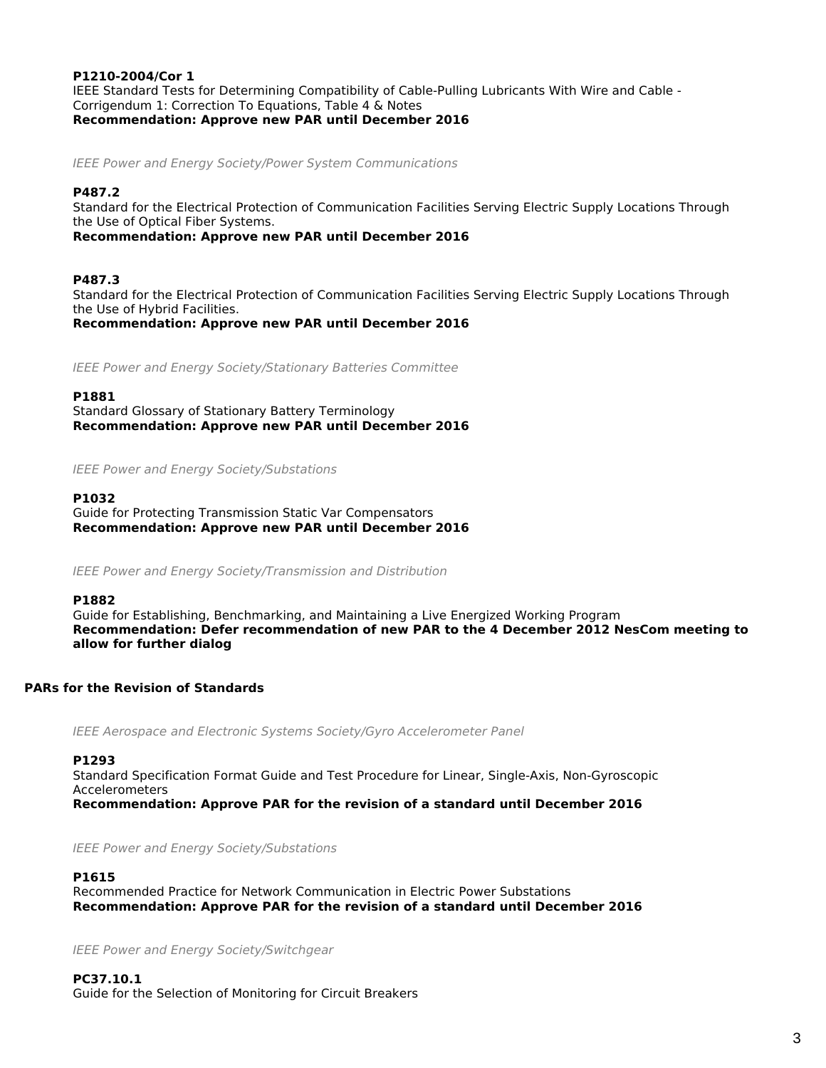### **P1210-2004/Cor 1** IEEE Standard Tests for Determining Compatibility of Cable-Pulling Lubricants With Wire and Cable - Corrigendum 1: Correction To Equations, Table 4 & Notes *Recommendation: Approve new PAR until December 2016*

*IEEE Power and Energy Society/Power System Communications*

## **P487.2**

Standard for the Electrical Protection of Communication Facilities Serving Electric Supply Locations Through the Use of Optical Fiber Systems.

*Recommendation: Approve new PAR until December 2016*

### **P487.3**

Standard for the Electrical Protection of Communication Facilities Serving Electric Supply Locations Through the Use of Hybrid Facilities.

*Recommendation: Approve new PAR until December 2016*

*IEEE Power and Energy Society/Stationary Batteries Committee*

### **P1881**

Standard Glossary of Stationary Battery Terminology *Recommendation: Approve new PAR until December 2016*

*IEEE Power and Energy Society/Substations*

### **P1032**

Guide for Protecting Transmission Static Var Compensators *Recommendation: Approve new PAR until December 2016*

*IEEE Power and Energy Society/Transmission and Distribution*

#### **P1882**

Guide for Establishing, Benchmarking, and Maintaining a Live Energized Working Program *Recommendation: Defer recommendation of new PAR to the 4 December 2012 NesCom meeting to allow for further dialog*

## **PARs for the Revision of Standards**

*IEEE Aerospace and Electronic Systems Society/Gyro Accelerometer Panel*

## **P1293**

Standard Specification Format Guide and Test Procedure for Linear, Single-Axis, Non-Gyroscopic Accelerometers

*Recommendation: Approve PAR for the revision of a standard until December 2016*

*IEEE Power and Energy Society/Substations*

### **P1615**

Recommended Practice for Network Communication in Electric Power Substations *Recommendation: Approve PAR for the revision of a standard until December 2016*

*IEEE Power and Energy Society/Switchgear*

### **PC37.10.1** Guide for the Selection of Monitoring for Circuit Breakers